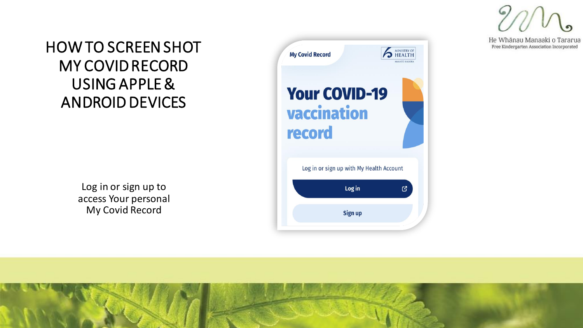He Whānau Manaaki o Tararua Free Kindergarten Association Incorporated

### HOW TO SCREEN SHOT MY COVID RECORD USING APPLE & ANDROID DEVICES

Log in or sign up to access Your personal My Covid Record

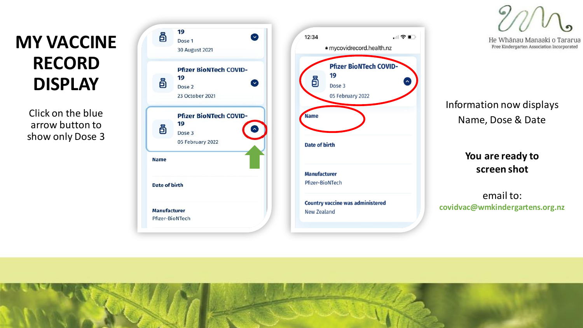### **MY VACCINE RECORD DISPLAY**

Click on the blue arrow button to show only Dose 3





He Whānau Manaaki o Tararua Free Kindergarten Association Incorporated

Information now displays Name, Dose & Date

### **You are ready to screen shot**

email to: **covidvac@wmkindergartens.org.nz**

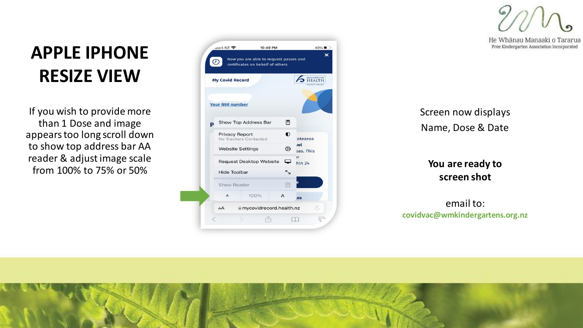He Whānau Manaaki o Tararua Free Kindergarten Association Incorporated

### **APPLE IPHONE RESIZE VIEW**

If you wish to provide more than 1 Dose and image appears too long scroll down to show top address bar AA reader & adjust image scale from 100% to 75% or 50%

|   | <b>My Covid Record</b>                                                              |                      |  |           | <b>MINISTRY OF</b><br><b>HEALTH</b><br><b>MANATÚ HAUORA</b> |
|---|-------------------------------------------------------------------------------------|----------------------|--|-----------|-------------------------------------------------------------|
|   | <b>Your NHI number</b>                                                              |                      |  |           |                                                             |
| Þ |                                                                                     | Show Top Address Bar |  | 同         |                                                             |
|   | <b>Privacy Report</b><br>No Trackers Contacted                                      |                      |  | $\bullet$ | otearoa                                                     |
|   | <b>Website Settings</b>                                                             |                      |  | ℗         | rel<br>aas. This                                            |
|   | ▭<br><b>Request Desktop Website</b><br>∼<br><b>Hide Toolbar</b><br>Show Reader<br>冃 |                      |  |           | $\mathbf{r}$<br>hin <sub>24</sub>                           |
|   |                                                                                     |                      |  |           |                                                             |
|   |                                                                                     |                      |  |           |                                                             |

Screen now displays Name, Dose & Date

### **You are ready to screen shot**

email to: **covidvac@wmkindergartens.org.nz**

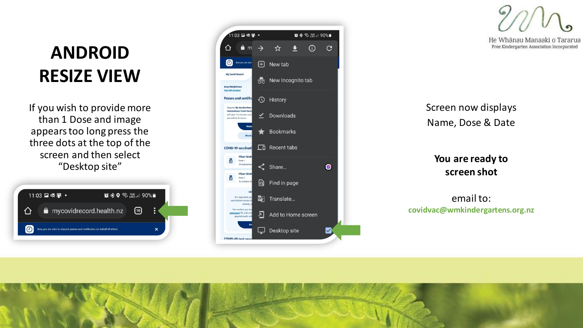### **ANDROID RESIZE VIEW**

If you wish to provide more than 1 Dose and image appears too long press the three dots at the top of the screen and then select "Desktop site"

|     | 11:03 2 眼里 • |                                                                         |             |  |
|-----|--------------|-------------------------------------------------------------------------|-------------|--|
| 1 I |              | mycovidrecord.health.nz                                                 | $\lceil$ 10 |  |
|     |              | Now you are able to request passes and certificates on behalf of others |             |  |



He Whānau Manaaki o Tararua Free Kindergarten Association Incorporated

Screen now displays Name, Dose & Date

**You are ready to screen shot**

email to: **covidvac@wmkindergartens.org.nz**

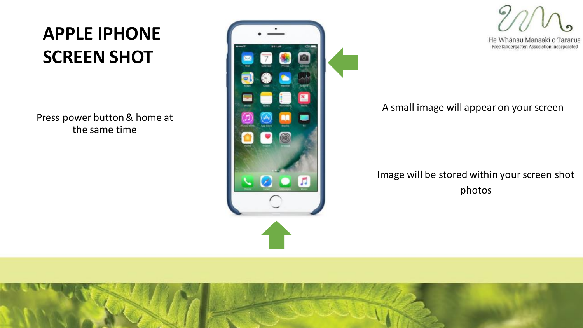## **APPLE IPHONE SCREEN SHOT**

Press power button & home at the same time



He Whānau Manaaki o Tararua Free Kindergarten Association Incorporated

#### A small image will appear on your screen

Image will be stored within your screen shot photos